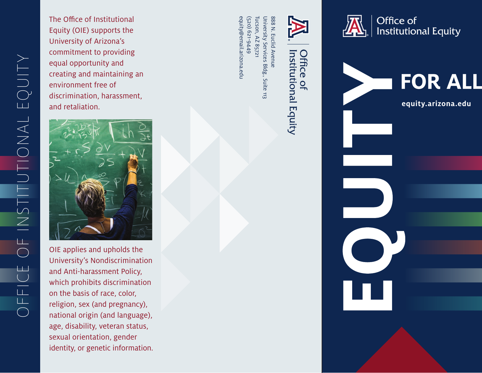The Office of Institutional Equity (OIE) supports the University of Arizona's commitment to providing equal opportunity and creating and maintaining an environment free of discrimination, harassment, and retaliation.



OIE applies and upholds the University's Nondiscrimination and Anti-harassment Policy, which prohibits discrimination on the basis of race, color, religion, sex (and pregnancy), national origin (and language), age, disability, veteran status, sexual orientation, gender identity, or genetic information.

Tucson, University Services Bldg., Suite 113 888 N. Euclid Avenue equity@email.arizona.edu equity@email.arizona.edu Tucson, AZ 85721 (520) 621-9449 University Services Bldg., Suite 113 888 N. Euclid Avenue AZ 85721







**[equity.arizona.edu](https://equity.arizona.edu/)**